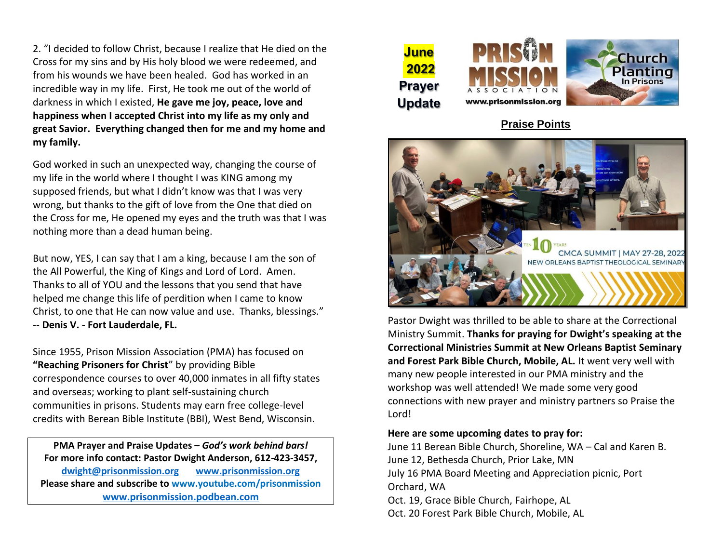2. "I decided to follow Christ, because I realize that He died on the Cross for my sins and by His holy blood we were redeemed, and from his wounds we have been healed. God has worked in an incredible way in my life. First, He took me out of the world of darkness in which I existed, **He gave me joy, peace, love and happiness when I accepted Christ into my life as my only and great Savior. Everything changed then for me and my home and my family.** 

God worked in such an unexpected way, changing the course of my life in the world where I thought I was KING among my supposed friends, but what I didn't know was that I was very wrong, but thanks to the gift of love from the One that died on the Cross for me, He opened my eyes and the truth was that I was nothing more than a dead human being.

But now, YES, I can say that I am a king, because I am the son of the All Powerful, the King of Kings and Lord of Lord. Amen. Thanks to all of YOU and the lessons that you send that have helped me change this life of perdition when I came to know Christ, to one that He can now value and use. Thanks, blessings." -- **Denis V. - Fort Lauderdale, FL.**

Since 1955, Prison Mission Association (PMA) has focused on **"Reaching Prisoners for Christ**" by providing Bible correspondence courses to over 40,000 inmates in all fifty states and overseas; working to plant self-sustaining church communities in prisons. Students may earn free college-level credits with Berean Bible Institute (BBI), West Bend, Wisconsin.

**PMA Prayer and Praise Updates –** *God's work behind bars!* **For more info contact: Pastor Dwight Anderson, 612-423-3457, [dwight@prisonmission.org](mailto:dwight@prisonmission.org) [www.prisonmission.org](http://www.prisonmission.org/) Please share and subscribe to www.youtube.com/prisonmission [www.prisonmission.podbean.com](http://www.prisonmission.podbean.com/)**







## **Praise Points**



Pastor Dwight was thrilled to be able to share at the Correctional Ministry Summit. **Thanks for praying for Dwight's speaking at the Correctional Ministries Summit at New Orleans Baptist Seminary and Forest Park Bible Church, Mobile, AL.** It went very well with many new people interested in our PMA ministry and the workshop was well attended! We made some very good connections with new prayer and ministry partners so Praise the Lord!

## **Here are some upcoming dates to pray for:**

June 11 Berean Bible Church, Shoreline, WA – Cal and Karen B. June 12, Bethesda Church, Prior Lake, MN July 16 PMA Board Meeting and Appreciation picnic, Port Orchard, WA Oct. 19, Grace Bible Church, Fairhope, AL

Oct. 20 Forest Park Bible Church, Mobile, AL